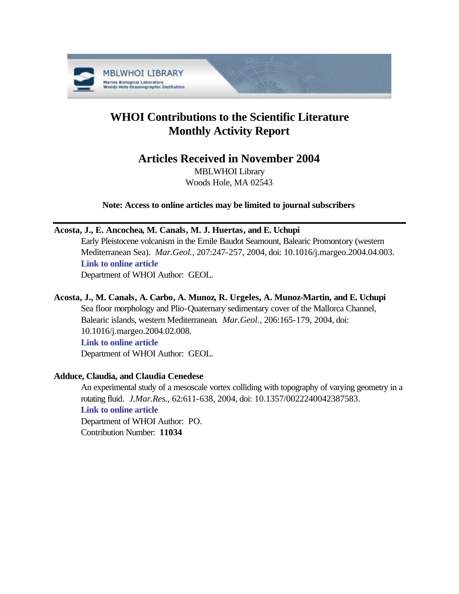

# **WHOI Contributions to the Scientific Literature Monthly Activity Report**

# **Articles Received in November 2004**

MBLWHOI Library Woods Hole, MA 02543

**Note: Access to online articles may be limited to journal subscribers**

### **Acosta, J., E. Ancochea, M. Canals, M. J. Huertas, and E. Uchupi**

Early Pleistocene volcanism in the Emile Baudot Seamount, Balearic Promontory (western Mediterranean Sea). *Mar.Geol.*, 207:247-257, 2004, doi: 10.1016/j.margeo.2004.04.003. **[Link to online article](http://dx.doi.org/10.1016/j.margeo.2004.04.003)**

Department of WHOI Author: GEOL.

# **Acosta, J., M. Canals, A. Carbo, A. Munoz, R. Urgeles, A. Munoz-Martin, and E. Uchupi**

Sea floor morphology and Plio-Quaternary sedimentary cover of the Mallorca Channel, Balearic islands, western Mediterranean. *Mar.Geol.*, 206:165-179, 2004, doi: 10.1016/j.margeo.2004.02.008. **[Link to online article](http://dx.doi.org/10.1016/j.margeo.2004.02.008)**

Department of WHOI Author: GEOL.

## **Adduce, Claudia, and Claudia Cenedese**

An experimental study of a mesoscale vortex colliding with topography of varying geometry in a rotating fluid. *J.Mar.Res.*, 62:611-638, 2004, doi: 10.1357/0022240042387583. **[Link to online article](http://dx.doi.org/10.1357/0022240042387583)** Department of WHOI Author: PO. Contribution Number: **11034**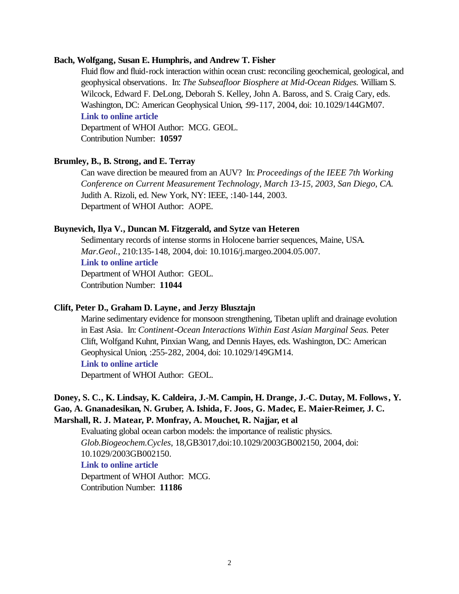#### **Bach, Wolfgang, Susan E. Humphris, and Andrew T. Fisher**

Fluid flow and fluid-rock interaction within ocean crust: reconciling geochemical, geological, and geophysical observations. In: *The Subseafloor Biosphere at Mid-Ocean Ridges.* William S. Wilcock, Edward F. DeLong, Deborah S. Kelley, John A. Baross, and S. Craig Cary, eds. Washington, DC: American Geophysical Union, :99-117, 2004, doi: 10.1029/144GM07. **[Link to online article](http://dx.doi.org/10.1029/144GM07)**

Department of WHOI Author: MCG. GEOL. Contribution Number: **10597**

### **Brumley, B., B. Strong, and E. Terray**

Can wave direction be meaured from an AUV? In: *Proceedings of the IEEE 7th Working Conference on Current Measurement Technology, March 13-15, 2003, San Diego, CA.*  Judith A. Rizoli, ed. New York, NY: IEEE, :140-144, 2003. Department of WHOI Author: AOPE.

### **Buynevich, Ilya V., Duncan M. Fitzgerald, and Sytze van Heteren**

Sedimentary records of intense storms in Holocene barrier sequences, Maine, USA. *Mar.Geol.*, 210:135-148, 2004, doi: 10.1016/j.margeo.2004.05.007. **[Link to online article](http://dx.doi.org/10.1016/j.margeo.2004.05.007)** Department of WHOI Author: GEOL. Contribution Number: **11044**

### **Clift, Peter D., Graham D. Layne, and Jerzy Blusztajn**

Marine sedimentary evidence for monsoon strengthening, Tibetan uplift and drainage evolution in East Asia. In: *Continent-Ocean Interactions Within East Asian Marginal Seas.* Peter Clift, Wolfgand Kuhnt, Pinxian Wang, and Dennis Hayes, eds. Washington, DC: American Geophysical Union, :255-282, 2004, doi: 10.1029/149GM14. **[Link to online article](http://dx.doi.org/10.1029/149GM14)**

Department of WHOI Author: GEOL.

### **Doney, S. C., K. Lindsay, K. Caldeira, J.-M. Campin, H. Drange, J.-C. Dutay, M. Follows, Y. Gao, A. Gnanadesikan, N. Gruber, A. Ishida, F. Joos, G. Madec, E. Maier-Reimer, J. C. Marshall, R. J. Matear, P. Monfray, A. Mouchet, R. Najjar, et al**

Evaluating global ocean carbon models: the importance of realistic physics. *Glob.Biogeochem.Cycles*, 18,GB3017,doi:10.1029/2003GB002150, 2004, doi: 10.1029/2003GB002150. **[Link to online article](http://dx.doi.org/10.1029/2003GB002150)** Department of WHOI Author: MCG.

Contribution Number: **11186**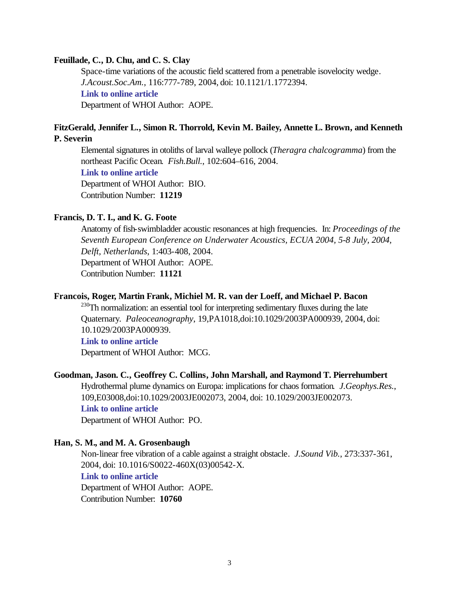### **Feuillade, C., D. Chu, and C. S. Clay**

Space-time variations of the acoustic field scattered from a penetrable isovelocity wedge. *J.Acoust.Soc.Am.*, 116:777-789, 2004, doi: 10.1121/1.1772394. **[Link to online article](http://dx.doi.org/10.1121/1.1772394)** Department of WHOI Author: AOPE.

### **FitzGerald, Jennifer L., Simon R. Thorrold, Kevin M. Bailey, Annette L. Brown, and Kenneth P. Severin**

Elemental signatures in otoliths of larval walleye pollock (*Theragra chalcogramma*) from the northeast Pacific Ocean. *Fish.Bull.*, 102:604–616, 2004.

#### **[Link to online article](http://fishbull.noaa.gov/1024/fitzg.pdf)**

Department of WHOI Author: BIO. Contribution Number: **11219**

#### **Francis, D. T. I., and K. G. Foote**

Anatomy of fish-swimbladder acoustic resonances at high frequencies. In: *Proceedings of the Seventh European Conference on Underwater Acoustics, ECUA 2004, 5-8 July, 2004, Delft, Netherlands*, 1:403-408, 2004. Department of WHOI Author: AOPE. Contribution Number: **11121**

### **Francois, Roger, Martin Frank, Michiel M. R. van der Loeff, and Michael P. Bacon**

 $^{230}$ Th normalization: an essential tool for interpreting sedimentary fluxes during the late Quaternary. *Paleoceanography*, 19,PA1018,doi:10.1029/2003PA000939, 2004, doi: 10.1029/2003PA000939.

#### **[Link to online article](http://dx.doi.org/10.1029/2003PA000939)**

Department of WHOI Author: MCG.

### **Goodman, Jason. C., Geoffrey C. Collins, John Marshall, and Raymond T. Pierrehumbert**

Hydrothermal plume dynamics on Europa: implications for chaos formation. *J.Geophys.Res.*, 109,E03008,doi:10.1029/2003JE002073, 2004, doi: 10.1029/2003JE002073.

# **[Link to online article](http://dx.doi.org/10.1029/2003JE002073)**

Department of WHOI Author: PO.

### **Han, S. M., and M. A. Grosenbaugh**

Non-linear free vibration of a cable against a straight obstacle. *J.Sound Vib.*, 273:337-361, 2004, doi: 10.1016/S0022-460X(03)00542-X. **[Link to online article](http://dx.doi.org/10.1016/S0022-460X(03)00542-X)** Department of WHOI Author: AOPE. Contribution Number: **10760**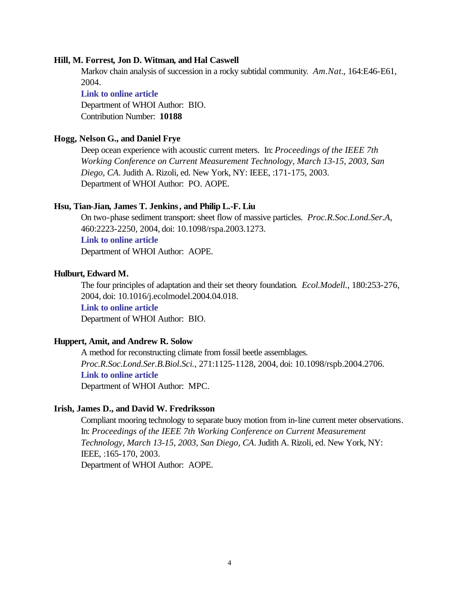#### **Hill, M. Forrest, Jon D. Witman, and Hal Caswell**

Markov chain analysis of succession in a rocky subtidal community. *Am.Nat.*, 164:E46-E61, 2004.

#### **[Link to online article](http://www.journals.uchicago.edu/AN/journal/issues/v164n2/30238/30238.web.pdf)**

Department of WHOI Author: BIO. Contribution Number: **10188**

### **Hogg, Nelson G., and Daniel Frye**

Deep ocean experience with acoustic current meters. In: *Proceedings of the IEEE 7th Working Conference on Current Measurement Technology, March 13-15, 2003, San Diego, CA*. Judith A. Rizoli, ed. New York, NY: IEEE, :171-175, 2003. Department of WHOI Author: PO. AOPE.

### **Hsu, Tian-Jian, James T. Jenkins, and Philip L.-F. Liu**

On two-phase sediment transport: sheet flow of massive particles. *Proc.R.Soc.Lond.Ser.A*, 460:2223-2250, 2004, doi: 10.1098/rspa.2003.1273.

#### **[Link to online article](http://dx.doi.org/10.1098/rspa.2003.1273)**

Department of WHOI Author: AOPE.

### **Hulburt, Edward M.**

The four principles of adaptation and their set theory foundation. *Ecol.Modell.*, 180:253-276, 2004, doi: 10.1016/j.ecolmodel.2004.04.018. **[Link to online article](http://dx.doi.org/10.1016/j.ecolmodel.2004.04.018)**

Department of WHOI Author: BIO.

#### **Huppert, Amit, and Andrew R. Solow**

A method for reconstructing climate from fossil beetle assemblages. *Proc.R.Soc.Lond.Ser.B.Biol.Sci.*, 271:1125-1128, 2004, doi: 10.1098/rspb.2004.2706. **[Link to online article](http://dx.doi.org/10.1098/rspb.2004.2706)** Department of WHOI Author: MPC.

#### **Irish, James D., and David W. Fredriksson**

Compliant mooring technology to separate buoy motion from in-line current meter observations. In: *Proceedings of the IEEE 7th Working Conference on Current Measurement Technology, March 13-15, 2003, San Diego, CA*. Judith A. Rizoli, ed. New York, NY: IEEE, :165-170, 2003.

Department of WHOI Author: AOPE.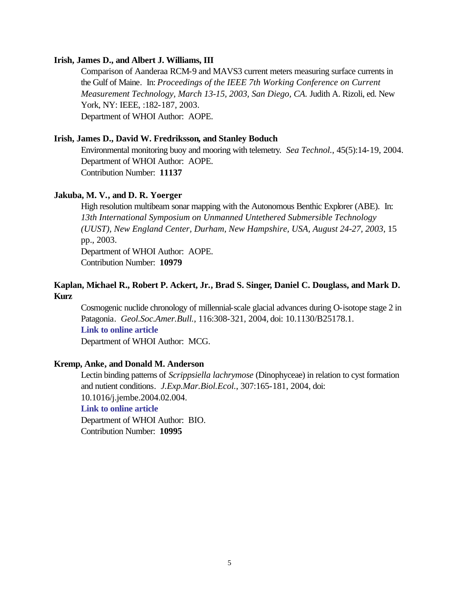### **Irish, James D., and Albert J. Williams, III**

Comparison of Aanderaa RCM-9 and MAVS3 current meters measuring surface currents in the Gulf of Maine. In: *Proceedings of the IEEE 7th Working Conference on Current Measurement Technology, March 13-15, 2003, San Diego, CA.* Judith A. Rizoli, ed. New York, NY: IEEE, :182-187, 2003. Department of WHOI Author: AOPE.

### **Irish, James D., David W. Fredriksson, and Stanley Boduch**

Environmental monitoring buoy and mooring with telemetry. *Sea Technol.*, 45(5):14-19, 2004. Department of WHOI Author: AOPE. Contribution Number: **11137**

### **Jakuba, M. V., and D. R. Yoerger**

High resolution multibeam sonar mapping with the Autonomous Benthic Explorer (ABE). In: *13th International Symposium on Unmanned Untethered Submersible Technology (UUST), New England Center, Durham, New Hampshire, USA, August 24-27, 2003*, 15 pp., 2003.

Department of WHOI Author: AOPE. Contribution Number: **10979**

### **Kaplan, Michael R., Robert P. Ackert, Jr., Brad S. Singer, Daniel C. Douglass, and Mark D. Kurz**

Cosmogenic nuclide chronology of millennial-scale glacial advances during O-isotope stage 2 in Patagonia. *Geol.Soc.Amer.Bull.*, 116:308-321, 2004, doi: 10.1130/B25178.1. **[Link to online article](http://dx.doi.org/10.1130/B25178.1)** Department of WHOI Author: MCG.

### **Kremp, Anke, and Donald M. Anderson**

Lectin binding patterns of *Scrippsiella lachrymose* (Dinophyceae) in relation to cyst formation and nutient conditions. *J.Exp.Mar.Biol.Ecol.*, 307:165-181, 2004, doi: 10.1016/j.jembe.2004.02.004.

### **[Link to online article](http://dx.doi.org/10.1016/j.jembe.2004.02.004)**

Department of WHOI Author: BIO. Contribution Number: **10995**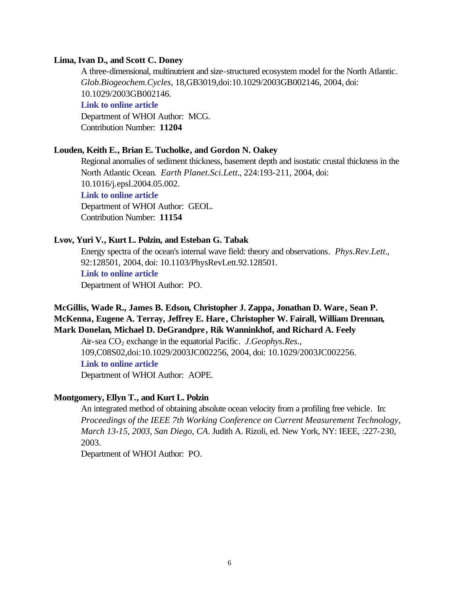#### **Lima, Ivan D., and Scott C. Doney**

A three-dimensional, multinutrient and size-structured ecosystem model for the North Atlantic. *Glob.Biogeochem.Cycles*, 18,GB3019,doi:10.1029/2003GB002146, 2004, doi: 10.1029/2003GB002146.

### **[Link to online article](http://dx.doi.org/10.1029/2003GB002146)**

Department of WHOI Author: MCG. Contribution Number: **11204**

### **Louden, Keith E., Brian E. Tucholke, and Gordon N. Oakey**

Regional anomalies of sediment thickness, basement depth and isostatic crustal thickness in the North Atlantic Ocean. *Earth Planet.Sci.Lett.*, 224:193-211, 2004, doi: 10.1016/j.epsl.2004.05.002. **[Link to online article](http://dx.doi.org/10.1016/j.epsl.2004.05.002)** Department of WHOI Author: GEOL. Contribution Number: **11154**

### **Lvov, Yuri V., Kurt L. Polzin, and Esteban G. Tabak**

Energy spectra of the ocean's internal wave field: theory and observations. *Phys.Rev.Lett.*, 92:128501, 2004, doi: 10.1103/PhysRevLett.92.128501. **[Link to online article](http://dx.doi.org/10.1103/PhysRevLett.92.128501)** Department of WHOI Author: PO.

# **McGillis, Wade R., James B. Edson, Christopher J. Zappa, Jonathan D. Ware, Sean P. McKenna, Eugene A. Terray, Jeffrey E. Hare, Christopher W. Fairall, William Drennan, Mark Donelan, Michael D. DeGrandpre, Rik Wanninkhof, and Richard A. Feely**

Air-sea CO<sub>2</sub> exchange in the equatorial Pacific. *J.Geophys.Res.*, 109,C08S02,doi:10.1029/2003JC002256, 2004, doi: 10.1029/2003JC002256. **[Link to online article](http://dx.doi.org/10.1029/2003JC002256)** Department of WHOI Author: AOPE.

#### **Montgomery, Ellyn T., and Kurt L. Polzin**

An integrated method of obtaining absolute ocean velocity from a profiling free vehicle. In: *Proceedings of the IEEE 7th Working Conference on Current Measurement Technology, March 13-15, 2003, San Diego, CA*. Judith A. Rizoli, ed. New York, NY: IEEE, :227-230, 2003.

Department of WHOI Author: PO.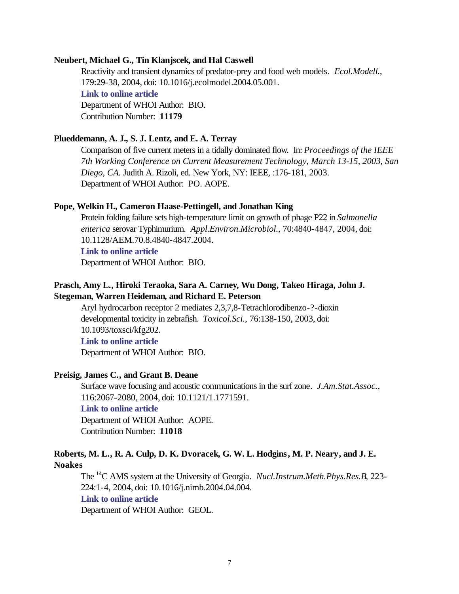#### **Neubert, Michael G., Tin Klanjscek, and Hal Caswell**

Reactivity and transient dynamics of predator-prey and food web models. *Ecol.Modell.*, 179:29-38, 2004, doi: 10.1016/j.ecolmodel.2004.05.001. **[Link to online article](http://dx.doi.org/10.1016/j.ecolmodel.2004.05.001)** Department of WHOI Author: BIO. Contribution Number: **11179**

#### **Plueddemann, A. J., S. J. Lentz, and E. A. Terray**

Comparison of five current meters in a tidally dominated flow. In: *Proceedings of the IEEE 7th Working Conference on Current Measurement Technology, March 13-15, 2003, San Diego, CA.* Judith A. Rizoli, ed. New York, NY: IEEE, :176-181, 2003. Department of WHOI Author: PO. AOPE.

### **Pope, Welkin H., Cameron Haase-Pettingell, and Jonathan King**

Protein folding failure sets high-temperature limit on growth of phage P22 in *Salmonella enterica* serovar Typhimurium. *Appl.Environ.Microbiol.*, 70:4840-4847, 2004, doi: 10.1128/AEM.70.8.4840-4847.2004.

### **[Link to online article](http://dx.doi.org/10.1128/AEM.70.8.4840-4847.2004)**

Department of WHOI Author: BIO.

### **Prasch, Amy L., Hiroki Teraoka, Sara A. Carney, Wu Dong, Takeo Hiraga, John J. Stegeman, Warren Heideman, and Richard E. Peterson**

Aryl hydrocarbon receptor 2 mediates 2,3,7,8-Tetrachlorodibenzo-?-dioxin developmental toxicity in zebrafish. *Toxicol.Sci.*, 76:138-150, 2003, doi: 10.1093/toxsci/kfg202.

### **[Link to online article](http://dx.doi.org/10.1093/toxsci/kfg202)**

Department of WHOI Author: BIO.

### **Preisig, James C., and Grant B. Deane**

Surface wave focusing and acoustic communications in the surf zone. *J.Am.Stat.Assoc.*, 116:2067-2080, 2004, doi: 10.1121/1.1771591.

#### **[Link to online article](http://dx.doi.org/10.1121/1.1771591)**

Department of WHOI Author: AOPE. Contribution Number: **11018**

### **Roberts, M. L., R. A. Culp, D. K. Dvoracek, G. W. L. Hodgins, M. P. Neary, and J. E. Noakes**

The <sup>14</sup>C AMS system at the University of Georgia. *Nucl.Instrum.Meth.Phys.Res.B*, 223- 224:1-4, 2004, doi: 10.1016/j.nimb.2004.04.004. **[Link to online article](http://dx.doi.org/10.1016/j.nimb.2004.04.004)**

Department of WHOI Author: GEOL.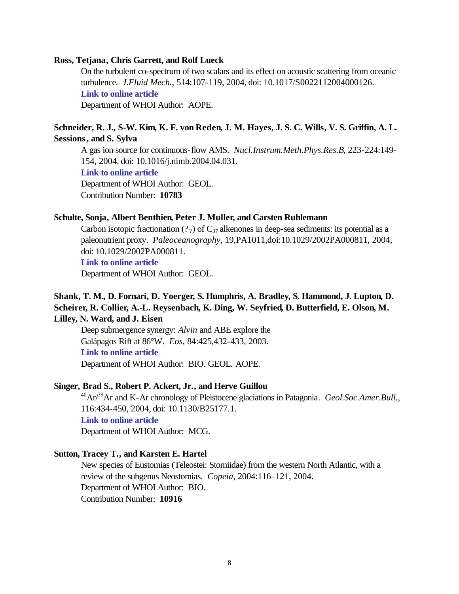### **Ross, Tetjana, Chris Garrett, and Rolf Lueck**

On the turbulent co-spectrum of two scalars and its effect on acoustic scattering from oceanic turbulence. *J.Fluid Mech.*, 514:107-119, 2004, doi: 10.1017/S0022112004000126. **[Link to online article](http://dx.doi.org/10.1017/S0022112004000126)** Department of WHOI Author: AOPE.

### **Schneider, R. J., S-W. Kim, K. F. von Reden, J. M. Hayes, J. S. C. Wills, V. S. Griffin, A. L. Sessions, and S. Sylva**

A gas ion source for continuous-flow AMS. *Nucl.Instrum.Meth.Phys.Res.B*, 223-224:149- 154, 2004, doi: 10.1016/j.nimb.2004.04.031.

#### **[Link to online article](http://dx.doi.org/10.1016/j.nimb.2004.04.031)**

Department of WHOI Author: GEOL. Contribution Number: **10783**

#### **Schulte, Sonja, Albert Benthien, Peter J. Muller, and Carsten Ruhlemann**

Carbon isotopic fractionation (?  $\sigma$ ) of C<sub>37</sub> alkenones in deep-sea sediments: its potential as a paleonutrient proxy. *Paleoceanography*, 19,PA1011,doi:10.1029/2002PA000811, 2004, doi: 10.1029/2002PA000811.

#### **[Link to online article](http://dx.doi.org/10.1029/2002PA000811)**

Department of WHOI Author: GEOL.

### **Shank, T. M., D. Fornari, D. Yoerger, S. Humphris, A. Bradley, S. Hammond, J. Lupton, D. Scheirer, R. Collier, A.-L. Reysenbach, K. Ding, W. Seyfried, D. Butterfield, E. Olson, M. Lilley, N. Ward, and J. Eisen**

Deep submergence synergy: *Alvin* and ABE explore the Galápagos Rift at 86°W. *Eos*, 84:425,432-433, 2003. **[Link to online article](http://www.agu.org/journals/eo/eo0341/2003EO410001.pdf#anchor)** Department of WHOI Author: BIO. GEOL. AOPE.

#### **Singer, Brad S., Robert P. Ackert, Jr., and Herve Guillou**

<sup>40</sup>Ar/<sup>39</sup>Ar and K-Ar chronology of Pleistocene glaciations in Patagonia. *Geol.Soc.Amer.Bull.*, 116:434-450, 2004, doi: 10.1130/B25177.1. **[Link to online article](http://dx.doi.org/10.1130/B25177.1)** Department of WHOI Author: MCG.

#### **Sutton, Tracey T., and Karsten E. Hartel**

New species of Eustomias (Teleostei: Stomiidae) from the western North Atlantic, with a review of the subgenus Neostomias. *Copeia*, 2004:116–121, 2004. Department of WHOI Author: BIO. Contribution Number: **10916**